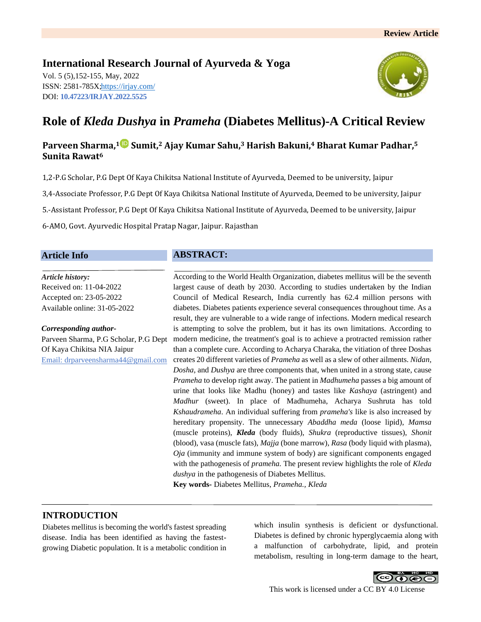# **International Research Journal of Ayurveda & Yoga**

Vol. 5 (5),152-155, May, 2022 ISSN: 2581-785X[; https://irjay.com/](https://irjay.com/) DOI: **10.47223/IRJAY.2022.5525**



## **Role of** *Kleda Dushya* **in** *Prameha* **(Diabetes Mellitus)-A Critical Review**

## **Parveen Sharma, <sup>1</sup> Sumit, <sup>2</sup> Ajay Kumar Sahu, <sup>3</sup> Harish Bakuni, <sup>4</sup> Bharat Kumar Padhar, 5 Sunita Rawat<sup>6</sup>**

1,2-P.G Scholar, P.G Dept Of Kaya Chikitsa National Institute of Ayurveda, Deemed to be university, Jaipur

3,4-Associate Professor, P.G Dept Of Kaya Chikitsa National Institute of Ayurveda, Deemed to be university, Jaipur

5.-Assistant Professor, P.G Dept Of Kaya Chikitsa National Institute of Ayurveda, Deemed to be university, Jaipur

6-AMO, Govt. Ayurvedic Hospital Pratap Nagar, Jaipur. Rajasthan

#### **Article Info**

**ABSTRACT:**

*Article history:* Received on: 11-04-2022 Accepted on: 23-05-2022 Available online: 31-05-2022

*Corresponding author-*Parveen Sharma, P.G Scholar, P.G Dept Of Kaya Chikitsa NIA Jaipur Email: drparveensharma44@gmail.com

According to the World Health Organization, diabetes mellitus will be the seventh largest cause of death by 2030. According to studies undertaken by the Indian Council of Medical Research, India currently has 62.4 million persons with diabetes. Diabetes patients experience several consequences throughout time. As a result, they are vulnerable to a wide range of infections. Modern medical research is attempting to solve the problem, but it has its own limitations. According to modern medicine, the treatment's goal is to achieve a protracted remission rather than a complete cure. According to Acharya Charaka, the vitiation of three Doshas creates 20 different varieties of *Prameha* as well as a slew of other ailments. *Nidan, Dosha*, and *Dushya* are three components that, when united in a strong state, cause *Prameha* to develop right away. The patient in *Madhumeha* passes a big amount of urine that looks like Madhu (honey) and tastes like *Kashaya* (astringent) and *Madhur* (sweet). In place of Madhumeha, Acharya Sushruta has told *Kshaudrameha*. An individual suffering from *prameha's* like is also increased by hereditary propensity. The unnecessary *Abaddha meda* (loose lipid), *Mamsa* (muscle proteins), *Kleda* (body fluids), *Shukra* (reproductive tissues), *Shonit* (blood), vasa (muscle fats), *Majja* (bone marrow), *Rasa* (body liquid with plasma), *Oja* (immunity and immune system of body) are significant components engaged with the pathogenesis of *prameha.* The present review highlights the role of *Kleda dushya* in the pathogenesis of Diabetes Mellitus.

**Key words-** Diabetes Mellitus, *Prameha., Kleda*

## **INTRODUCTION**

Diabetes mellitus is becoming the world's fastest spreading disease. India has been identified as having the fastestgrowing Diabetic population. It is a metabolic condition in

which insulin synthesis is deficient or dysfunctional. Diabetes is defined by chronic hyperglycaemia along with a malfunction of carbohydrate, lipid, and protein metabolism, resulting in long-term damage to the heart,

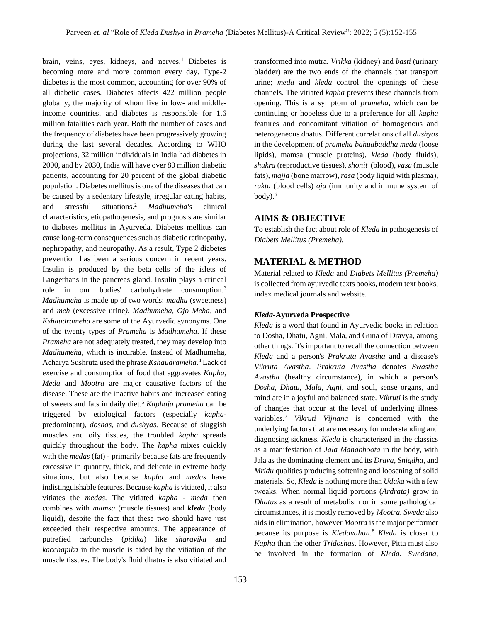brain, veins, eyes, kidneys, and nerves.<sup>1</sup> Diabetes is becoming more and more common every day. Type-2 diabetes is the most common, accounting for over 90% of all diabetic cases. Diabetes affects 422 million people globally, the majority of whom live in low- and middleincome countries, and diabetes is responsible for 1.6 million fatalities each year. Both the number of cases and the frequency of diabetes have been progressively growing during the last several decades. According to WHO projections, 32 million individuals in India had diabetes in 2000, and by 2030, India will have over 80 million diabetic patients, accounting for 20 percent of the global diabetic population. Diabetes mellitus is one of the diseases that can be caused by a sedentary lifestyle, irregular eating habits, and stressful situations.<sup>2</sup> *Madhumeha's* clinical characteristics, etiopathogenesis, and prognosis are similar to diabetes mellitus in Ayurveda. Diabetes mellitus can cause long-term consequences such as diabetic retinopathy, nephropathy, and neuropathy. As a result, Type 2 diabetes prevention has been a serious concern in recent years. Insulin is produced by the beta cells of the islets of Langerhans in the pancreas gland. Insulin plays a critical role in our bodies' carbohydrate consumption.<sup>3</sup> *Madhumeha* is made up of two words: *madhu* (sweetness) and *meh* (excessive urine*). Madhumeha, Ojo Meha*, and *Kshaudrameha* are some of the Ayurvedic synonyms. One of the twenty types of *Prameha* is *Madhumeha*. If these *Prameha* are not adequately treated, they may develop into *Madhumeha*, which is incurable. Instead of Madhumeha, Acharya Sushruta used the phrase *Kshaudrameha.*<sup>4</sup> Lack of exercise and consumption of food that aggravates *Kapha, Meda* and *Mootra* are major causative factors of the disease. These are the inactive habits and increased eating of sweets and fats in daily diet.<sup>5</sup> *Kaphaja prameha* can be triggered by etiological factors (especially *kapha*predominant), *doshas,* and *dushyas.* Because of sluggish muscles and oily tissues, the troubled *kapha* spreads quickly throughout the body. The *kapha* mixes quickly with the *medas* (fat) - primarily because fats are frequently excessive in quantity, thick, and delicate in extreme body situations, but also because *kapha* and *medas* have indistinguishable features. Because *kapha* is vitiated, it also vitiates the *medas*. The vitiated *kapha - meda* then combines with *mamsa* (muscle tissues) and *kleda* (body liquid), despite the fact that these two should have just exceeded their respective amounts. The appearance of putrefied carbuncles (*pidika*) like *sharavika* and *kacchapika* in the muscle is aided by the vitiation of the muscle tissues. The body's fluid dhatus is also vitiated and

transformed into mutra*. Vrikka* (kidney) and *basti* (urinary bladder) are the two ends of the channels that transport urine; *meda* and *kleda* control the openings of these channels. The vitiated *kapha* prevents these channels from opening. This is a symptom of *prameha,* which can be continuing or hopeless due to a preference for all *kapha*  features and concomitant vitiation of homogenous and heterogeneous dhatus. Different correlations of all *dushyas* in the development of *prameha bahuabaddha meda* (loose lipids), mamsa (muscle proteins), *kleda* (body fluids), *shukra* (reproductive tissues), *shonit* (blood), *vasa* (muscle fats), *majja* (bone marrow), *rasa* (body liquid with plasma), *rakta* (blood cells) *oja* (immunity and immune system of  $body$ <sup>6</sup>.

#### **AIMS & OBJECTIVE**

To establish the fact about role of *Kleda* in pathogenesis of *Diabets Mellitus (Premeha).*

### **MATERIAL & METHOD**

Material related to *Kleda* and *Diabets Mellitus (Premeha)*  is collected from ayurvedic texts books, modern text books, index medical journals and website.

#### *Kleda***-Ayurveda Prospective**

*Kleda* is a word that found in Ayurvedic books in relation to Dosha, Dhatu, Agni, Mala, and Guna of Dravya, among other things. It's important to recall the connection between *Kleda* and a person's *Prakruta Avastha* and a disease's *Vikruta Avastha*. *Prakruta Avastha* denotes *Swastha Avastha* (healthy circumstance), in which a person's *Dosha, Dhatu, Mala, Agni*, and soul, sense organs, and mind are in a joyful and balanced state. *Vikruti* is the study of changes that occur at the level of underlying illness variables.<sup>7</sup> *Vikruti Vijnana* is concerned with the underlying factors that are necessary for understanding and diagnosing sickness*. Kleda* is characterised in the classics as a manifestation of *Jala Mahabhoota* in the body, with Jala as the dominating element and its *Drava, Snigdha,* and *Mridu* qualities producing softening and loosening of solid materials. So, *Kleda* is nothing more than *Udaka* with a few tweaks. When normal liquid portions (*Ardrata)* grow in *Dhatus* as a result of metabolism or in some pathological circumstances, it is mostly removed by *Mootra. Sweda* also aids in elimination, however *Mootra* is the major performer because its purpose is *Kledavahan*. <sup>8</sup> *Kleda* is closer to *Kapha* than the other *Tridoshas*. However, Pitta must also be involved in the formation of *Kleda. Swedana,*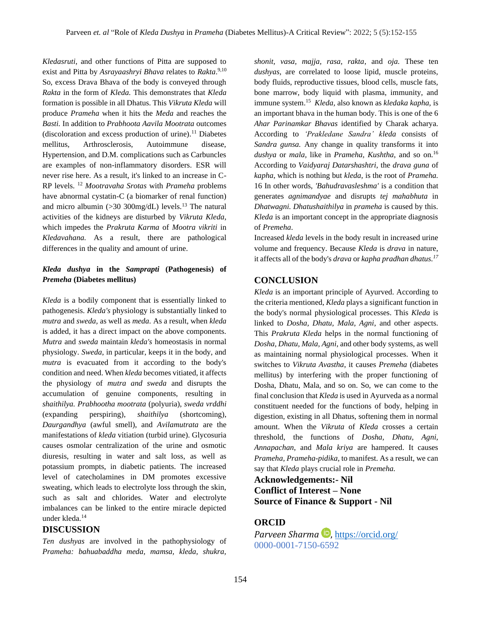*Kledasruti*, and other functions of Pitta are supposed to exist and Pitta by *Asrayaashryi Bhava* relates to *Rakta*.<sup>9,10</sup> So, excess Drava Bhava of the body is conveyed through *Rakta* in the form of *Kleda.* This demonstrates that *Kleda* formation is possible in all Dhatus. This *Vikruta Kleda* will produce *Prameha* when it hits the *Meda* and reaches the *Basti.* In addition to *Prabhoota Aavila Mootrata* outcomes (discoloration and excess production of urine).<sup>11</sup> Diabetes mellitus, Arthrosclerosis, Autoimmune disease, Hypertension, and D.M. complications such as Carbuncles are examples of non-inflammatory disorders. ESR will never rise here. As a result, it's linked to an increase in C-RP levels. <sup>12</sup> *Mootravaha Srotas* with *Prameha* problems have abnormal cystatin-C (a biomarker of renal function) and micro albumin  $(>30 \ 300$ mg/dL) levels.<sup>13</sup> The natural activities of the kidneys are disturbed by *Vikruta Kleda*, which impedes the *Prakruta Karma* of *Mootra vikriti* in *Kledavahana.* As a result, there are pathological differences in the quality and amount of urine.

#### *Kleda dushya* **in the** *Samprapti* **(Pathogenesis) of**  *Premeha* **(Diabetes mellitus)**

*Kleda* is a bodily component that is essentially linked to pathogenesis. *Kleda's* physiology is substantially linked to *mutra* and *sweda,* as well as *meda.* As a result, when *kleda*  is added, it has a direct impact on the above components. *Mutra* and *sweda* maintain *kleda's* homeostasis in normal physiology. *Sweda*, in particular, keeps it in the body, and *mutra* is evacuated from it according to the body's condition and need. When *kleda* becomes vitiated, it affects the physiology of *mutra and sweda* and disrupts the accumulation of genuine components, resulting in *shaithilya. Prabhootha mootrata* (polyuria), *sweda vrddhi* (expanding perspiring), *shaithilya* (shortcoming), *Daurgandhya* (awful smell), and *Avilamutrata* are the manifestations of *kleda* vitiation (turbid urine). Glycosuria causes osmolar centralization of the urine and osmotic diuresis, resulting in water and salt loss, as well as potassium prompts, in diabetic patients. The increased level of catecholamines in DM promotes excessive sweating, which leads to electrolyte loss through the skin, such as salt and chlorides. Water and electrolyte imbalances can be linked to the entire miracle depicted under kleda.<sup>14</sup>

#### **DISCUSSION**

*Ten dushyas* are involved in the pathophysiology of *Prameha: bahuabaddha meda, mamsa, kleda, shukra,* 

*shonit, vasa, majja, rasa, rakta*, and *oja.* These ten *dushyas,* are correlated to loose lipid, muscle proteins, body fluids, reproductive tissues, blood cells, muscle fats, bone marrow, body liquid with plasma, immunity, and immune system.<sup>15</sup> *Kleda,* also known as *kledaka kapha,* is an important bhava in the human body. This is one of the 6 *Ahar Parinamkar Bhavas* identified by Charak acharya. According to *'Prakledane Sandra' kleda* consists of *Sandra gunsa.* Any change in quality transforms it into *dushya* or *mala,* like in *Prameha, Kushtha*, and so on.<sup>16</sup> According to *Vaidyaraj Datarshashtri*, the *drava guna* of *kapha*, which is nothing but *kleda,* is the root of *Prameha.* 16 In other words, *'Bahudravasleshma'* is a condition that generates *agnimandyae* and disrupts *tej mahabhuta* in *Dhatwagni. Dhatushaithilya* in *prameha* is caused by this. *Kleda* is an important concept in the appropriate diagnosis of *Premeha*.

Increased *kleda* levels in the body result in increased urine volume and frequency. Because *Kleda* is *drava* in nature, it affects all of the body's *drava* or *kapha pradhan dhatus.<sup>17</sup>*

#### **CONCLUSION**

*Kleda* is an important principle of Ayurved. According to the criteria mentioned, *Kleda* plays a significant function in the body's normal physiological processes. This *Kleda* is linked to *Dosha, Dhatu, Mala, Agni*, and other aspects. This *Prakruta Kleda* helps in the normal functioning of *Dosha, Dhatu, Mala, Agni*, and other body systems, as well as maintaining normal physiological processes. When it switches to *Vikruta Avastha*, it causes *Premeha* (diabetes mellitus) by interfering with the proper functioning of Dosha, Dhatu, Mala, and so on. So, we can come to the final conclusion that *Kleda* is used in Ayurveda as a normal constituent needed for the functions of body, helping in digestion, existing in all Dhatus, softening them in normal amount. When the *Vikruta* of *Kleda* crosses a certain threshold, the functions of *Dosha, Dhatu, Agni, Annapachan*, and *Mala kriya* are hampered. It causes *Prameha, Prameha-pidika*, to manifest. As a result, we can say that *Kleda* plays crucial role in *Premeha.*

**Acknowledgements:- Nil Conflict of Interest – None Source of Finance & Support - Nil**

## **ORCID**

Parveen Sharma<sup>D</sup>, <https://orcid.org/> 0000-0001-7150-6592